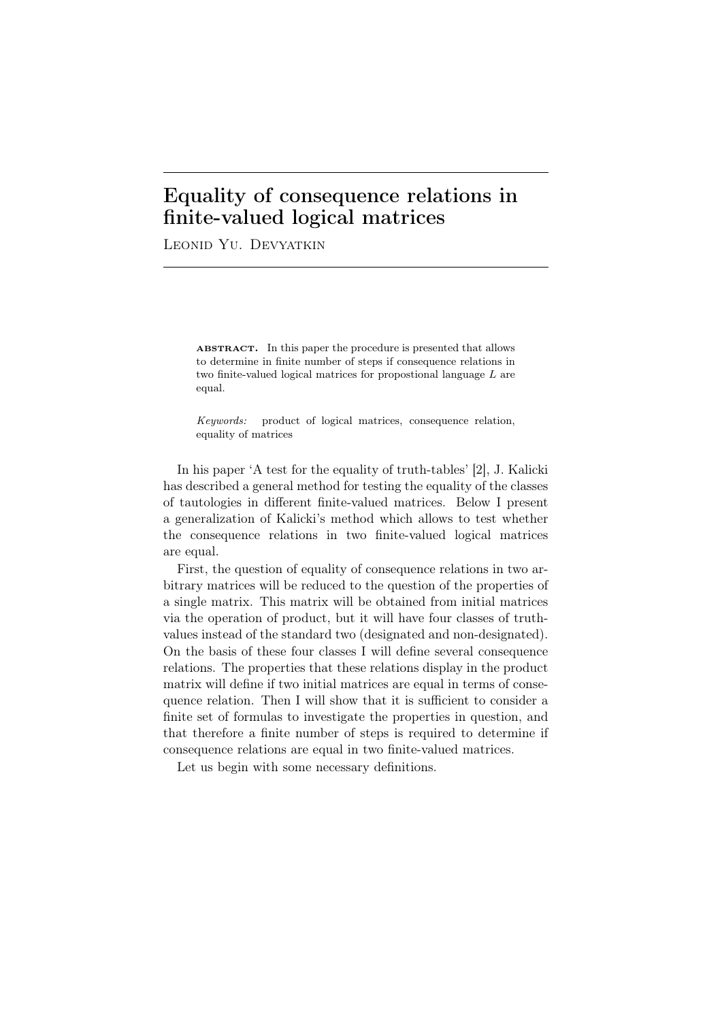## Equality of consequence relations in finite-valued logical matrices

Leonid Yu. Devyatkin

ABSTRACT. In this paper the procedure is presented that allows to determine in finite number of steps if consequence relations in two finite-valued logical matrices for propostional language *L* are equal.

*Keywords:* product of logical matrices, consequence relation, equality of matrices

In his paper 'A test for the equality of truth-tables' [2], J. Kalicki has described a general method for testing the equality of the classes of tautologies in different finite-valued matrices. Below I present a generalization of Kalicki's method which allows to test whether the consequence relations in two finite-valued logical matrices are equal.

First, the question of equality of consequence relations in two arbitrary matrices will be reduced to the question of the properties of a single matrix. This matrix will be obtained from initial matrices via the operation of product, but it will have four classes of truthvalues instead of the standard two (designated and non-designated). On the basis of these four classes I will define several consequence relations. The properties that these relations display in the product matrix will define if two initial matrices are equal in terms of consequence relation. Then I will show that it is sufficient to consider a finite set of formulas to investigate the properties in question, and that therefore a finite number of steps is required to determine if consequence relations are equal in two finite-valued matrices.

Let us begin with some necessary definitions.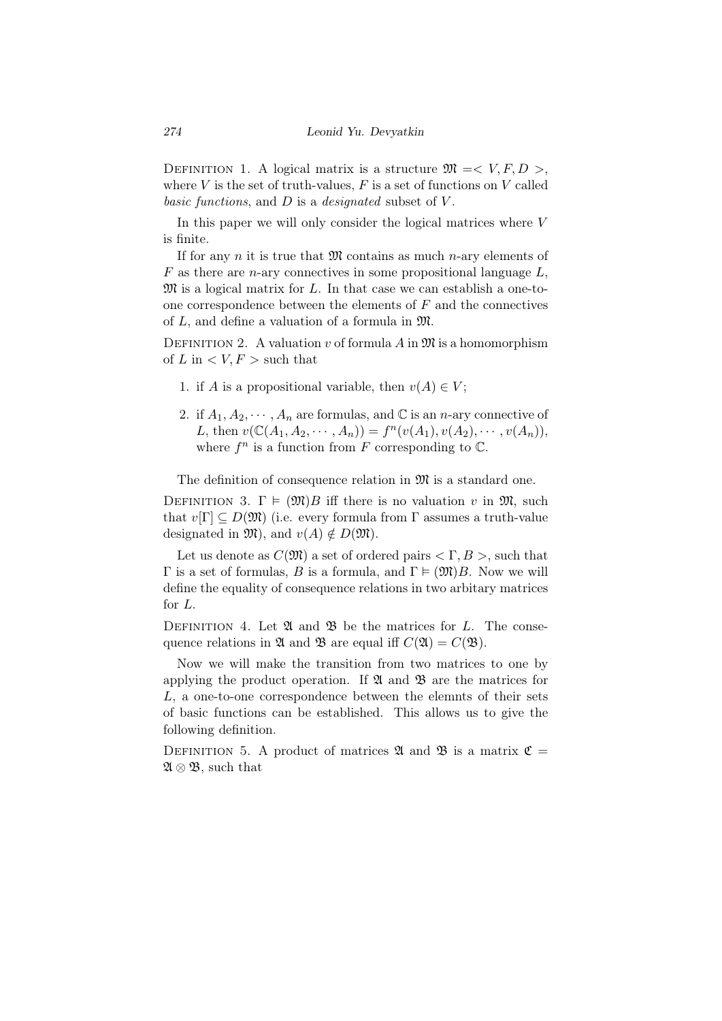DEFINITION 1. A logical matrix is a structure  $\mathfrak{M} = \langle V, F, D \rangle$ , where  $V$  is the set of truth-values,  $F$  is a set of functions on  $V$  called *basic functions*, and *D* is a *designated* subset of *V* .

In this paper we will only consider the logical matrices where *V* is finite.

If for any *n* it is true that  $\mathfrak{M}$  contains as much *n*-ary elements of *F* as there are *n*-ary connectives in some propositional language *L*, M is a logical matrix for *L*. In that case we can establish a one-toone correspondence between the elements of *F* and the connectives of *L*, and define a valuation of a formula in M.

DEFINITION 2. A valuation  $v$  of formula  $A$  in  $\mathfrak{M}$  is a homomorphism of  $L$  in  $\lt V, F >$  such that

- 1. if *A* is a propositional variable, then  $v(A) \in V$ ;
- 2. if  $A_1, A_2, \cdots, A_n$  are formulas, and  $\mathbb C$  is an *n*-ary connective of *L*, then  $v(\mathbb{C}(A_1, A_2, \dots, A_n)) = f^n(v(A_1), v(A_2), \dots, v(A_n)),$ where  $f^n$  is a function from  $F$  corresponding to  $\mathbb{C}$ .

The definition of consequence relation in  $\mathfrak{M}$  is a standard one.

DEFINITION 3.  $\Gamma \models (\mathfrak{M})B$  iff there is no valuation *v* in  $\mathfrak{M}$ , such that  $v[\Gamma] \subseteq D(\mathfrak{M})$  (i.e. every formula from  $\Gamma$  assumes a truth-value designated in  $\mathfrak{M}$ , and  $v(A) \notin D(\mathfrak{M})$ .

Let us denote as  $C(\mathfrak{M})$  a set of ordered pairs  $\langle \Gamma, B \rangle$ , such that  $Γ$  is a set of formulas, *B* is a formula, and  $Γ$   $∈$   $(\mathfrak{M})B$ . Now we will define the equality of consequence relations in two arbitary matrices for *L*.

DEFINITION 4. Let  $\mathfrak A$  and  $\mathfrak B$  be the matrices for *L*. The consequence relations in  $\mathfrak A$  and  $\mathfrak B$  are equal iff  $C(\mathfrak A) = C(\mathfrak B)$ .

Now we will make the transition from two matrices to one by applying the product operation. If  $\mathfrak A$  and  $\mathfrak B$  are the matrices for *L*, a one-to-one correspondence between the elemnts of their sets of basic functions can be established. This allows us to give the following definition.

DEFINITION 5. A product of matrices  $\mathfrak A$  and  $\mathfrak B$  is a matrix  $\mathfrak C$  = A *⊗* B, such that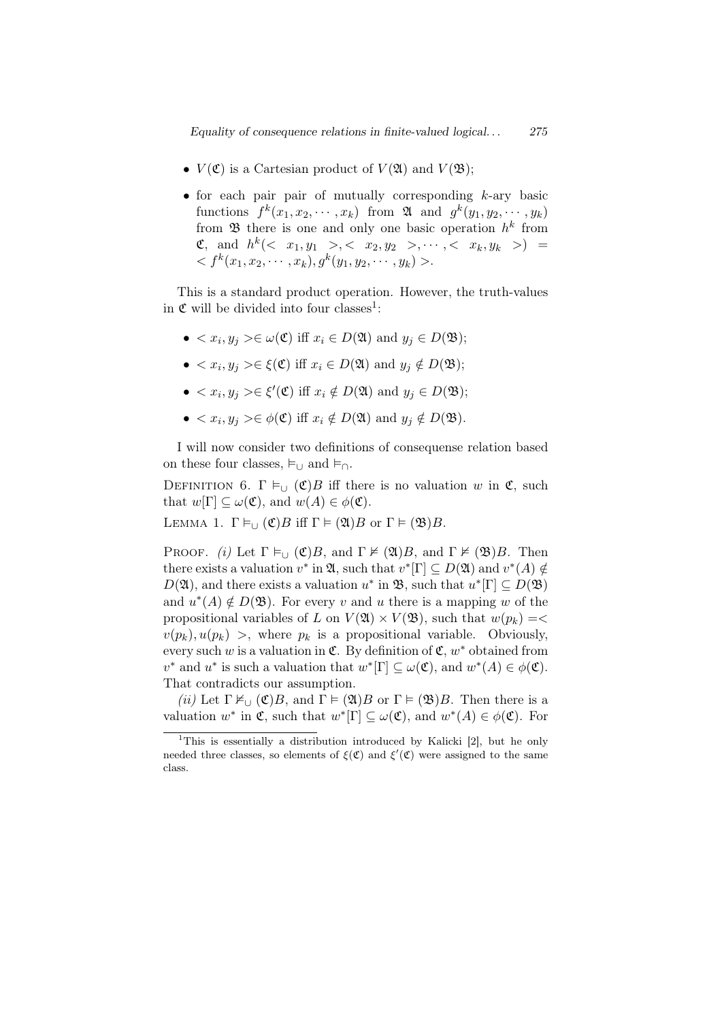*Equality of consequence relations in finite-valued logical. . . 275*

- $V(\mathfrak{C})$  is a Cartesian product of  $V(\mathfrak{A})$  and  $V(\mathfrak{B})$ ;
- *•* for each pair pair of mutually corresponding *k*-ary basic functions  $f^k(x_1, x_2, \dots, x_k)$  from  $\mathfrak{A}$  and  $g^k(y_1, y_2, \dots, y_k)$ from  $\mathfrak B$  there is one and only one basic operation  $h^k$  from  $\mathfrak{C}, \text{ and } h^k \left( \langle x_1, y_1 \rangle, \langle x_2, y_2 \rangle, \cdots, \langle x_k, y_k \rangle \right) =$  $\langle f^k(x_1, x_2, \dots, x_k), g^k(y_1, y_2, \dots, y_k) \rangle.$

This is a standard product operation. However, the truth-values in  $\mathfrak C$  will be divided into four classes<sup>1</sup>:

- $\bullet$  *< x<sub>i</sub>*, *y<sub>j</sub>* >∈ *ω*(**C**) iff *x<sub>i</sub>* ∈ *D*(**2**) and *y<sub>j</sub>* ∈ *D*(**3**);
- $\bullet$  *< x<sub>i</sub>*, *y<sub>j</sub>* >∈ *ξ*(**C**) iff *x<sub>i</sub>* ∈ *D*(**2**) and *y<sub>j</sub>* ∉ *D*(**3**);
- $\bullet$  *< x<sub>i</sub>*, *y<sub>j</sub>* >∈ *ξ*'(**C**) iff *x<sub>i</sub>*  $\notin$  *D*( $\mathfrak{A}$ ) and *y<sub>j</sub>* ∈ *D*( $\mathfrak{B}$ );
- $\bullet$  *< x<sub>i</sub>*, *y<sub>j</sub>* >∈  $\phi$ (C) iff *x<sub>i</sub>* ∉ *D*(20) and *y<sub>j</sub>* ∉ *D*(28).

I will now consider two definitions of consequense relation based on these four classes,  $\models_{\cup}$  and  $\models_{\cap}$ .

DEFINITION 6.  $\Gamma \vDash_{\cup} (\mathfrak{C})B$  iff there is no valuation *w* in  $\mathfrak{C}$ , such that  $w[\Gamma] \subseteq \omega(\mathfrak{C})$ , and  $w(A) \in \phi(\mathfrak{C})$ .

LEMMA 1.  $\Gamma \vDash_{\cup} (\mathfrak{C})B$  iff  $\Gamma \vDash (\mathfrak{A})B$  or  $\Gamma \vDash (\mathfrak{B})B$ .

PROOF. *(i)* Let  $\Gamma \vDash_{\cup} (\mathfrak{C})B$ , and  $\Gamma \nvDash (\mathfrak{A})B$ , and  $\Gamma \nvDash (\mathfrak{B})B$ . Then there exists a valuation  $v^*$  in  $\mathfrak{A}$ , such that  $v^*[\Gamma] \subseteq D(\mathfrak{A})$  and  $v^*(A) \notin$  $D(\mathfrak{A})$ , and there exists a valuation  $u^*$  in  $\mathfrak{B}$ , such that  $u^*[\Gamma] \subseteq D(\mathfrak{B})$ and  $u^*(A) \notin D(\mathfrak{B})$ . For every *v* and *u* there is a mapping *w* of the propositional variables of *L* on  $V(\mathfrak{A}) \times V(\mathfrak{B})$ , such that  $w(p_k) = \langle$  $v(p_k)$ ,  $u(p_k)$  >, where  $p_k$  is a propositional variable. Obviously, every such *w* is a valuation in  $\mathfrak{C}$ . By definition of  $\mathfrak{C}$ ,  $w^*$  obtained from *v*<sup>\*</sup> and *u*<sup>\*</sup> is such a valuation that  $w^*[\Gamma] \subseteq \omega(\mathfrak{C})$ , and  $w^*(A) \in \phi(\mathfrak{C})$ . That contradicts our assumption.

*(ii)* Let  $\Gamma \nvDash_{\Box} (\mathfrak{C})B$ , and  $\Gamma \models (\mathfrak{A})B$  or  $\Gamma \models (\mathfrak{B})B$ . Then there is a valuation  $w^*$  in  $\mathfrak{C}$ , such that  $w^*[\Gamma] \subseteq \omega(\mathfrak{C})$ , and  $w^*(A) \in \phi(\mathfrak{C})$ . For

<sup>1</sup>This is essentially a distribution introduced by Kalicki [2], but he only needed three classes, so elements of  $\xi(\mathfrak{C})$  and  $\xi'(\mathfrak{C})$  were assigned to the same class.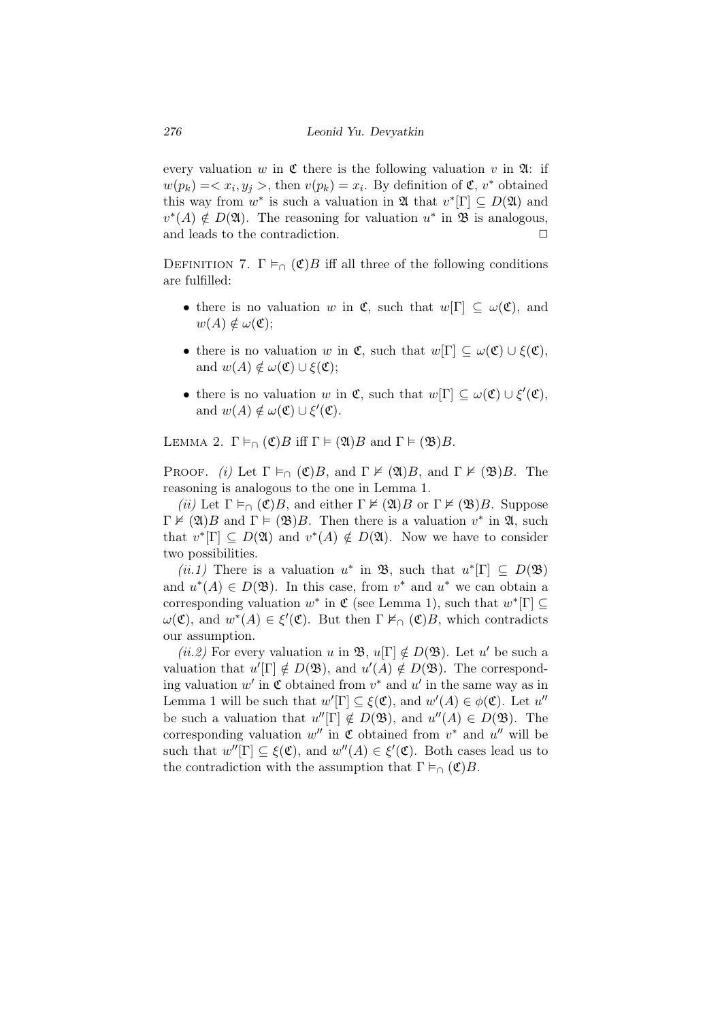every valuation *w* in  $\mathfrak C$  there is the following valuation *v* in  $\mathfrak A$ : if  $w(p_k) = \langle x_i, y_j \rangle$ , then  $v(p_k) = x_i$ . By definition of  $\mathfrak{C}, v^*$  obtained this way from  $w^*$  is such a valuation in  $\mathfrak{A}$  that  $v^*[\Gamma] \subseteq D(\mathfrak{A})$  and  $v^*(A) \notin D(\mathfrak{A})$ . The reasoning for valuation  $u^*$  in  $\mathfrak{B}$  is analogous, and leads to the contradiction.  $\Box$ 

DEFINITION 7.  $\Gamma \vDash_{\cap} (\mathfrak{C})B$  iff all three of the following conditions are fulfilled:

- there is no valuation *w* in  $\mathfrak{C}$ , such that  $w[\Gamma] \subseteq \omega(\mathfrak{C})$ , and  $w(A) \notin \omega(\mathfrak{C});$
- *•* there is no valuation *w* in **C**, such that  $w[\Gamma] \subseteq \omega(\mathfrak{C}) \cup \xi(\mathfrak{C})$ , and  $w(A) \notin \omega(\mathfrak{C}) \cup \xi(\mathfrak{C});$
- there is no valuation *w* in  $\mathfrak{C}$ , such that  $w[\Gamma] \subseteq \omega(\mathfrak{C}) \cup \xi'(\mathfrak{C})$ , and  $w(A) \notin \omega(\mathfrak{C}) \cup \xi'(\mathfrak{C})$ .

LEMMA 2.  $\Gamma \vDash_{\cap} (\mathfrak{C})B$  iff  $\Gamma \vDash (\mathfrak{A})B$  and  $\Gamma \vDash (\mathfrak{B})B$ .

PROOF. *(i)* Let  $\Gamma \vDash_{\cap} (\mathfrak{C})B$ , and  $\Gamma \nvDash (\mathfrak{A})B$ , and  $\Gamma \nvDash (\mathfrak{B})B$ . The reasoning is analogous to the one in Lemma 1.

*(ii)* Let  $\Gamma \vDash_{\cap} (\mathfrak{C})B$ , and either  $\Gamma \nvDash (\mathfrak{A})B$  or  $\Gamma \nvDash (\mathfrak{B})B$ . Suppose  $\Gamma \nvDash (\mathfrak{A})B$  and  $\Gamma \models (\mathfrak{B})B$ . Then there is a valuation  $v^*$  in  $\mathfrak{A}$ , such that  $v^*[\Gamma] \subseteq D(\mathfrak{A})$  and  $v^*(A) \notin D(\mathfrak{A})$ . Now we have to consider two possibilities.

 $(ii.1)$  There is a valuation  $u^*$  in  $\mathfrak{B}$ , such that  $u^*[\Gamma] \subseteq D(\mathfrak{B})$ and  $u^*(A) \in D(\mathfrak{B})$ . In this case, from  $v^*$  and  $u^*$  we can obtain a corresponding valuation  $w^*$  in  $\mathfrak{C}$  (see Lemma 1), such that  $w^*[\Gamma] \subseteq$ *ω*(**C**), and  $w^*(A) \in \xi'$  (**C**). But then Γ  $\nvDash_{\cap}$  (**C**)*B*, which contradicts our assumption.

 $(ii.2)$  For every valuation *u* in **B**,  $u[\Gamma] \notin D(\mathfrak{B})$ . Let *u'* be such a valuation that  $u'[{\Gamma}] \notin D(\mathfrak{B})$ , and  $u'(A) \notin D(\mathfrak{B})$ . The corresponding valuation  $w'$  in  $\mathfrak C$  obtained from  $v^*$  and  $u'$  in the same way as in Lemma 1 will be such that  $w'[{\Gamma}] \subseteq \xi(\mathfrak{C})$ , and  $w'(A) \in \phi(\mathfrak{C})$ . Let  $u''$ be such a valuation that  $u''[\Gamma] \notin D(\mathfrak{B})$ , and  $u''(A) \in D(\mathfrak{B})$ . The corresponding valuation  $w''$  in  $\mathfrak C$  obtained from  $v^*$  and  $u''$  will be such that  $w''[\Gamma] \subseteq \xi(\mathfrak{C})$ , and  $w''(A) \in \xi'(\mathfrak{C})$ . Both cases lead us to the contradiction with the assumption that  $\Gamma \vDash_{\cap} (\mathfrak{C})B$ .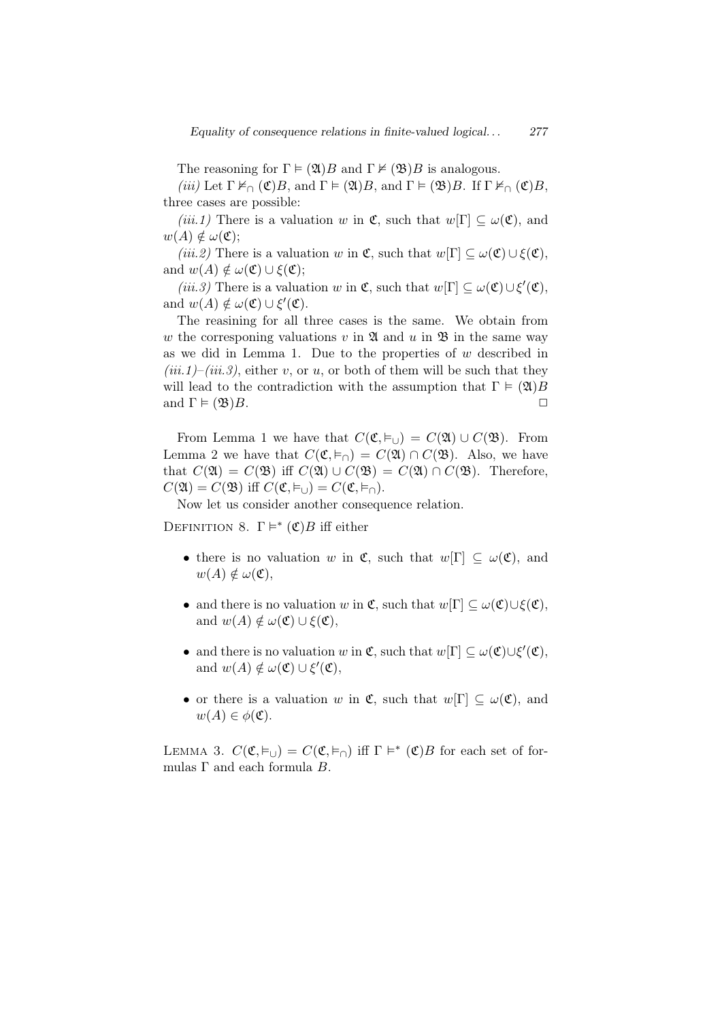The reasoning for  $\Gamma \models (\mathfrak{A})B$  and  $\Gamma \not\models (\mathfrak{B})B$  is analogous.

*(iii)* Let  $\Gamma \nvDash_{\cap} (\mathfrak{C})B$ , and  $\Gamma \vDash (\mathfrak{A})B$ , and  $\Gamma \vDash (\mathfrak{B})B$ . If  $\Gamma \nvDash_{\cap} (\mathfrak{C})B$ , three cases are possible:

*(iii.1)* There is a valuation *w* in  $\mathfrak{C}$ , such that  $w[\Gamma] \subset \omega(\mathfrak{C})$ , and  $w(A) \notin \omega(\mathfrak{C});$ 

*(iii.2)* There is a valuation *w* in  $\mathfrak{C}$ , such that  $w[\Gamma] \subseteq \omega(\mathfrak{C}) \cup \xi(\mathfrak{C})$ , and  $w(A) \notin \omega(\mathfrak{C}) \cup \xi(\mathfrak{C});$ 

*(iii.3)* There is a valuation *w* in  $\mathfrak{C}$ , such that  $w[\Gamma] \subseteq \omega(\mathfrak{C}) \cup \xi'(\mathfrak{C})$ , and  $w(A) \notin \omega(\mathfrak{C}) \cup \xi'(\mathfrak{C})$ .

The reasining for all three cases is the same. We obtain from *w* the corresponing valuations *v* in  $\mathfrak{A}$  and *u* in  $\mathfrak{B}$  in the same way as we did in Lemma 1. Due to the properties of *w* described in  $(iii.1)$ – $(iii.3)$ , either *v*, or *u*, or both of them will be such that they will lead to the contradiction with the assumption that  $\Gamma \models (\mathfrak{A})B$ and  $\Gamma \models (\mathfrak{B})B.$ 

From Lemma 1 we have that  $C(\mathfrak{C}, \vDash_{\sqcup}) = C(\mathfrak{A}) \cup C(\mathfrak{B})$ . From Lemma 2 we have that  $C(\mathfrak{C}, \vDash_{\cap}) = C(\mathfrak{A}) \cap C(\mathfrak{B})$ . Also, we have that  $C(\mathfrak{A}) = C(\mathfrak{B})$  iff  $C(\mathfrak{A}) \cup C(\mathfrak{B}) = C(\mathfrak{A}) \cap C(\mathfrak{B})$ . Therefore,  $C(\mathfrak{A}) = C(\mathfrak{B})$  iff  $C(\mathfrak{C}, \vDash_{\cup}) = C(\mathfrak{C}, \vDash_{\cap}).$ 

Now let us consider another consequence relation.

DEFINITION 8.  $\Gamma \models^* (\mathfrak{C})B$  iff either

- there is no valuation *w* in  $\mathfrak{C}$ , such that  $w[\Gamma] \subseteq \omega(\mathfrak{C})$ , and  $w(A) \notin \omega(\mathfrak{C}),$
- $\bullet$  and there is no valuation *w* in **C**, such that  $w[\Gamma] \subseteq \omega(\mathfrak{C}) \cup \xi(\mathfrak{C})$ , and  $w(A) \notin \omega(\mathfrak{C}) \cup \xi(\mathfrak{C}),$
- and there is no valuation *w* in  $\mathfrak{C}$ , such that  $w[\Gamma] \subseteq \omega(\mathfrak{C}) \cup \xi'(\mathfrak{C})$ , and  $w(A) \notin \omega(\mathfrak{C}) \cup \xi'(\mathfrak{C}),$
- *•* or there is a valuation *w* in  $\mathfrak{C}$ , such that  $w[\Gamma] \subset \omega(\mathfrak{C})$ , and  $w(A) \in \phi(\mathfrak{C})$ .

LEMMA 3.  $C(\mathfrak{C}, \vDash_{\cup}) = C(\mathfrak{C}, \vDash_{\cap})$  iff  $\Gamma \vDash^*(\mathfrak{C})B$  for each set of formulas Γ and each formula *B*.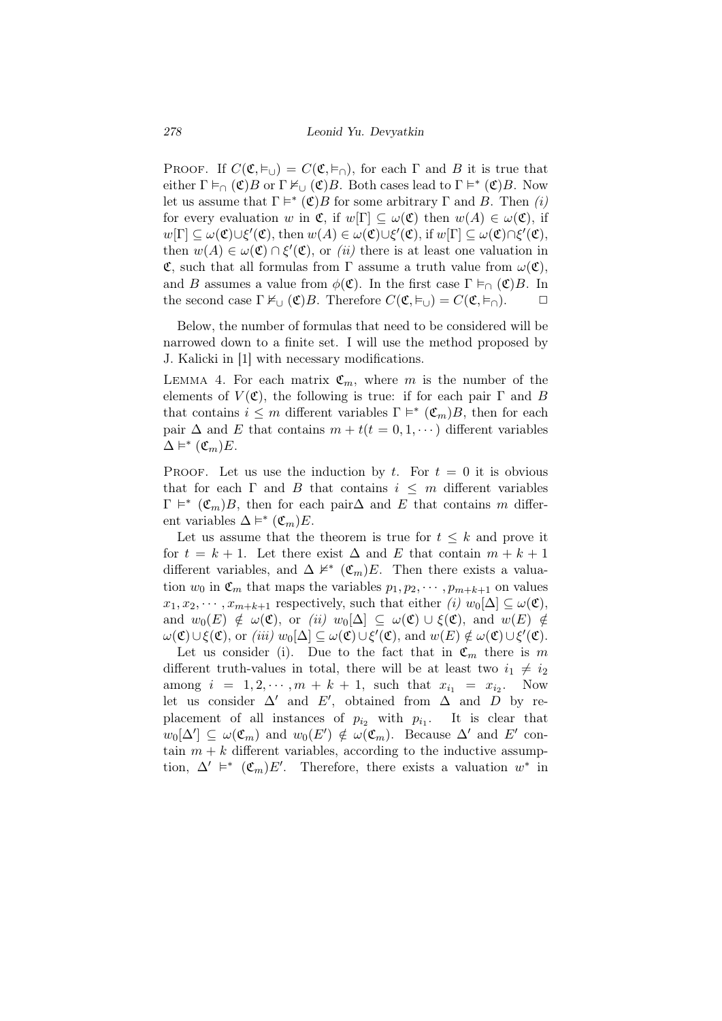*278 Leonid Yu. Devyatkin*

PROOF. If  $C(\mathfrak{C}, \vDash_{\bigcup}) = C(\mathfrak{C}, \vDash_{\bigcap})$ , for each  $\Gamma$  and  $B$  it is true that either  $\Gamma \vDash_{\cap} (\mathfrak{C})B$  or  $\Gamma \nvDash_{\cup} (\mathfrak{C})B$ . Both cases lead to  $\Gamma \vDash^*(\mathfrak{C})B$ . Now let us assume that  $\Gamma \models^* (\mathfrak{C})B$  for some arbitrary  $\Gamma$  and *B*. Then *(i)* for every evaluation *w* in  $\mathfrak{C}$ , if  $w[\Gamma] \subseteq \omega(\mathfrak{C})$  then  $w(A) \in \omega(\mathfrak{C})$ , if  $w[\Gamma] \subseteq \omega(\mathfrak{C}) \cup \xi'(\mathfrak{C}), \text{ then } w(A) \in \omega(\mathfrak{C}) \cup \xi'(\mathfrak{C}), \text{ if } w[\Gamma] \subseteq \omega(\mathfrak{C}) \cap \xi'(\mathfrak{C}),$ then  $w(A) \in \omega(\mathfrak{C}) \cap \xi'(\mathfrak{C})$ , or *(ii)* there is at least one valuation in **C**, such that all formulas from Γ assume a truth value from  $ω($ **C**), and *B* assumes a value from  $\phi(\mathfrak{C})$ . In the first case  $\Gamma \vDash_{\cap} (\mathfrak{C})B$ . In the second case  $\Gamma \nvDash_{\cup} (\mathfrak{C})B$ . Therefore  $C(\mathfrak{C}, \vDash_{\cup}) = C(\mathfrak{C}, \vDash_{\cap})$ .  $\Box$ 

Below, the number of formulas that need to be considered will be narrowed down to a finite set. I will use the method proposed by J. Kalicki in [1] with necessary modifications.

LEMMA 4. For each matrix  $\mathfrak{C}_m$ , where *m* is the number of the elements of  $V(\mathfrak{C})$ , the following is true: if for each pair  $\Gamma$  and *B* that contains  $i \leq m$  different variables  $\Gamma \models^* (\mathfrak{C}_m)B$ , then for each pair  $\Delta$  and *E* that contains  $m + t(t = 0, 1, \dots)$  different variables  $\Delta \vDash^* (\mathfrak{C}_m)E$ .

PROOF. Let us use the induction by  $t$ . For  $t = 0$  it is obvious that for each  $\Gamma$  and *B* that contains  $i \leq m$  different variables  $\Gamma \models^* (\mathfrak{C}_m)B$ , then for each pair $\Delta$  and *E* that contains *m* different variables  $\Delta \models^* (\mathfrak{C}_m) E$ .

Let us assume that the theorem is true for  $t \leq k$  and prove it for  $t = k + 1$ . Let there exist  $\Delta$  and E that contain  $m + k + 1$ different variables, and  $\Delta \nvDash^*(\mathfrak{C}_m)E$ . Then there exists a valuation  $w_0$  in  $\mathfrak{C}_m$  that maps the variables  $p_1, p_2, \cdots, p_{m+k+1}$  on values  $x_1, x_2, \cdots, x_{m+k+1}$  respectively, such that either *(i)*  $w_0[\Delta] \subseteq \omega(\mathfrak{C})$ , and  $w_0(E) \notin \omega(\mathfrak{C})$ , or *(ii)*  $w_0[\Delta] \subseteq \omega(\mathfrak{C}) \cup \xi(\mathfrak{C})$ , and  $w(E) \notin \mathfrak{C}$  $\omega(\mathfrak{C}) \cup \xi(\mathfrak{C})$ , or *(iii)*  $w_0[\Delta] \subseteq \omega(\mathfrak{C}) \cup \xi'(\mathfrak{C})$ , and  $w(E) \notin \omega(\mathfrak{C}) \cup \xi'(\mathfrak{C})$ .

Let us consider (i). Due to the fact that in  $\mathfrak{C}_m$  there is m different truth-values in total, there will be at least two  $i_1 \neq i_2$ among  $i = 1, 2, \dots, m + k + 1$ , such that  $x_{i_1} = x_{i_2}$ . Now let us consider  $\Delta'$  and  $E'$ , obtained from  $\Delta$  and  $D$  by replacement of all instances of  $p_{i_2}$  with  $p_{i_1}$ . It is clear that  $w_0[\Delta'] \subseteq \omega(\mathfrak{C}_m)$  and  $w_0(E') \notin \omega(\mathfrak{C}_m)$ . Because  $\Delta'$  and  $E'$  contain  $m + k$  different variables, according to the inductive assumption,  $\Delta' \models^* (\mathfrak{C}_m)E'$ . Therefore, there exists a valuation  $w^*$  in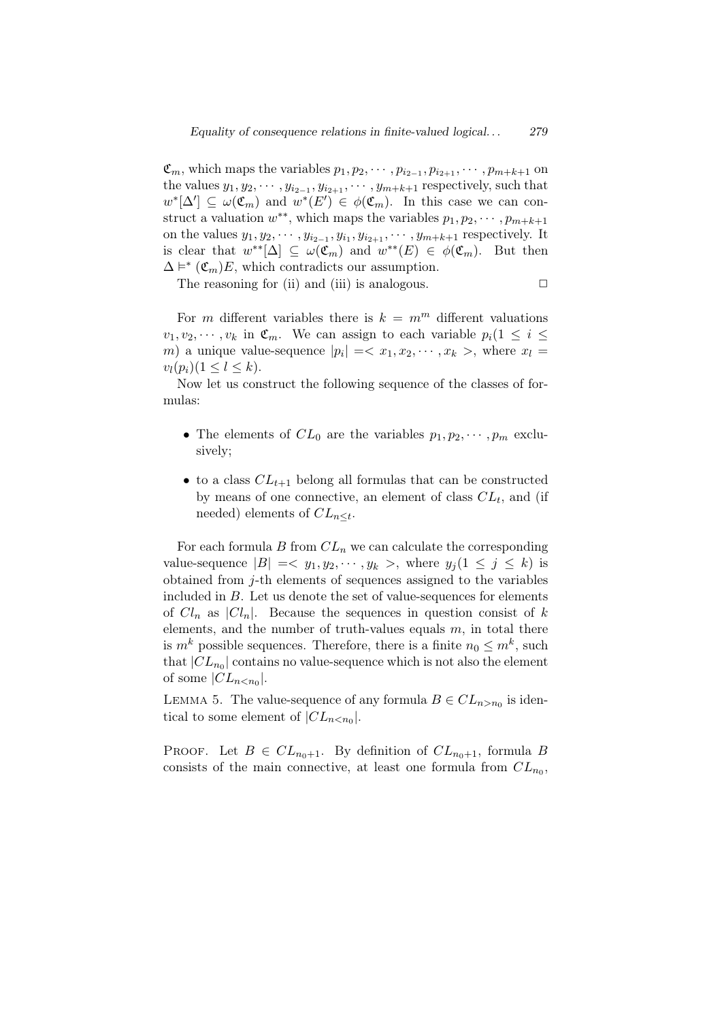$\mathfrak{C}_m$ , which maps the variables  $p_1, p_2, \cdots, p_{i_{2-1}}, p_{i_{2+1}}, \cdots, p_{m+k+1}$  on the values  $y_1, y_2, \dots, y_{i_{2-1}}, y_{i_{2+1}}, \dots, y_{m+k+1}$  respectively, such that  $w^*[\Delta'] \subseteq \omega(\mathfrak{C}_m)$  and  $w^*(E') \in \phi(\mathfrak{C}_m)$ . In this case we can construct a valuation  $w^{**}$ , which maps the variables  $p_1, p_2, \dots, p_{m+k+1}$ on the values  $y_1, y_2, \dots, y_{i_{2-1}}, y_{i_1}, y_{i_{2+1}}, \dots, y_{m+k+1}$  respectively. It is clear that  $w^{**}[\Delta] \subseteq \omega(\mathfrak{C}_m)$  and  $w^{**}(E) \in \phi(\mathfrak{C}_m)$ . But then  $\Delta \models^* (\mathfrak{C}_m)E$ , which contradicts our assumption.

The reasoning for (ii) and (iii) is analogous.  $\Box$ 

For *m* different variables there is  $k = m^m$  different valuations  $v_1, v_2, \cdots, v_k$  in  $\mathfrak{C}_m$ . We can assign to each variable  $p_i(1 \leq i \leq j)$ *m*) a unique value-sequence  $|p_i| = \langle x_1, x_2, \dots, x_k \rangle$ , where  $x_l =$  $v_l(p_i)(1 \leq l \leq k)$ .

Now let us construct the following sequence of the classes of formulas:

- The elements of  $CL_0$  are the variables  $p_1, p_2, \dots, p_m$  exclusively;
- *•* to a class *CLt*+1 belong all formulas that can be constructed by means of one connective, an element of class *CL<sup>t</sup>* , and (if needed) elements of *CLn≤<sup>t</sup>* .

For each formula  $B$  from  $CL_n$  we can calculate the corresponding value-sequence  $|B| = \langle y_1, y_2, \dots, y_k \rangle$ , where  $y_j (1 \leq j \leq k)$  is obtained from *j*-th elements of sequences assigned to the variables included in *B*. Let us denote the set of value-sequences for elements of  $Cl_n$  as  $|Cl_n|$ . Because the sequences in question consist of k elements, and the number of truth-values equals *m*, in total there is  $m^k$  possible sequences. Therefore, there is a finite  $n_0 \leq m^k$ , such that  $|CL_{n_0}|$  contains no value-sequence which is not also the element of some  $|CL_{n.$ 

LEMMA 5. The value-sequence of any formula  $B \in CL_{n>n_0}$  is identical to some element of  $|CL_{n.$ 

PROOF. Let  $B \in CL_{n_0+1}$ . By definition of  $CL_{n_0+1}$ , formula *B* consists of the main connective, at least one formula from  $CL_{n_0}$ ,